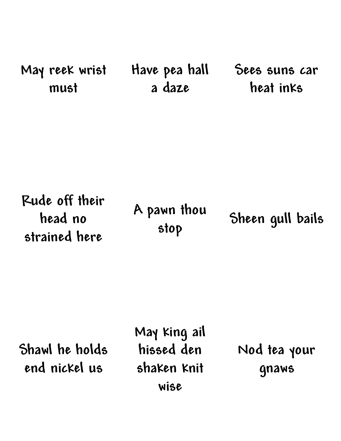**May reek wrist must Have pea hall a daze Sees suns car heat inks**

**Rude off their head no strained here A pawn thou stop Sheen gull bails**

**Shawl he holds end nickel us**

**May king ail hissed den shaken knit wise**

**Nod tea your gnaws**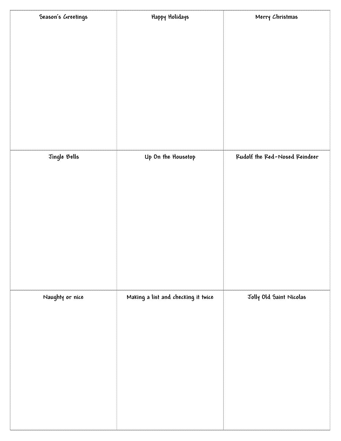| Happy Holidays     | Merry Christmas                     |
|--------------------|-------------------------------------|
|                    |                                     |
|                    |                                     |
|                    |                                     |
|                    |                                     |
|                    |                                     |
|                    |                                     |
|                    |                                     |
|                    |                                     |
|                    |                                     |
| Up On the Housetop | Rudolf the Red-Nosed Reindeer       |
|                    |                                     |
|                    |                                     |
|                    |                                     |
|                    |                                     |
|                    |                                     |
|                    |                                     |
|                    |                                     |
|                    |                                     |
|                    |                                     |
|                    | Jolly Old Saint Nicolas             |
|                    |                                     |
|                    |                                     |
|                    |                                     |
|                    |                                     |
|                    |                                     |
|                    |                                     |
|                    |                                     |
|                    |                                     |
|                    | Making a list and checking it twice |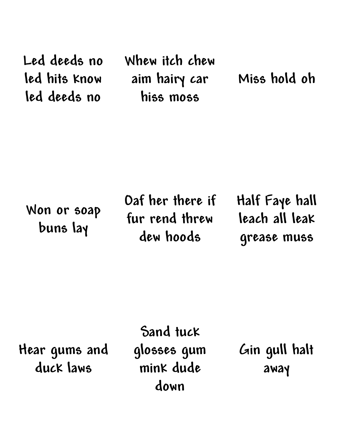**Led deeds no led hits know led deeds no**

**Whew itch chew aim hairy car hiss moss**

**Miss hold oh**

**Won or soap buns lay**

**Oaf her there if fur rend threw dew hoods**

**Half Faye hall leach all leak grease muss**

**Hear gums and duck laws**

**Sand tuck glosses gum mink dude down**

**Gin gull halt away**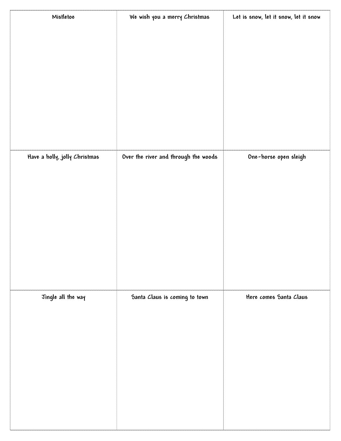| Mistletoe                     | We wish you a merry Christmas        | Let is snow, let it snow, let it snow |
|-------------------------------|--------------------------------------|---------------------------------------|
|                               |                                      |                                       |
|                               |                                      |                                       |
|                               |                                      |                                       |
|                               |                                      |                                       |
|                               |                                      |                                       |
|                               |                                      |                                       |
|                               |                                      |                                       |
|                               |                                      |                                       |
|                               |                                      |                                       |
| Have a holly, jolly Christmas | Over the river and through the woods | One-horse open sleigh                 |
|                               |                                      |                                       |
|                               |                                      |                                       |
|                               |                                      |                                       |
|                               |                                      |                                       |
|                               |                                      |                                       |
|                               |                                      |                                       |
|                               |                                      |                                       |
|                               |                                      |                                       |
| Jingle all the way            | Santa Claus is coming to town        | Here comes Santa Claus                |
|                               |                                      |                                       |
|                               |                                      |                                       |
|                               |                                      |                                       |
|                               |                                      |                                       |
|                               |                                      |                                       |
|                               |                                      |                                       |
|                               |                                      |                                       |
|                               |                                      |                                       |
|                               |                                      |                                       |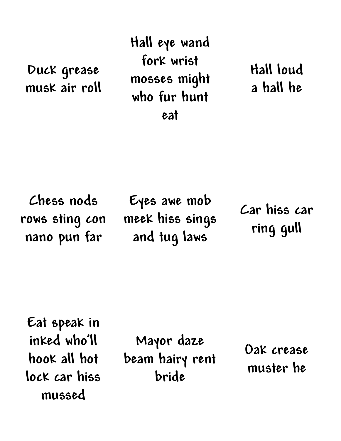**Duck grease musk air roll** **Hall eye wand fork wrist mosses might who fur hunt eat**

**Hall loud a hall he**

**Chess nods rows sting con nano pun far**

**Eyes awe mob meek hiss sings and tug laws**

**Car hiss car ring gull**

**Eat speak in inked who'll hook all hot lock car hiss mussed**

**Mayor daze beam hairy rent bride**

**Oak crease muster he**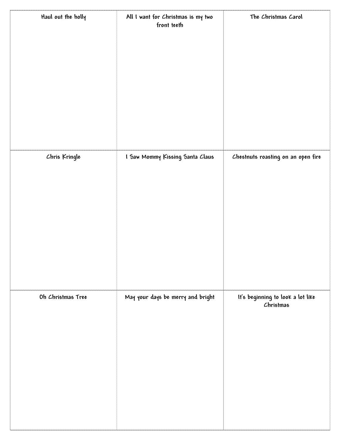| Haul out the holly | All I want for Christmas is my two<br>front teeth | The Christmas Carol                            |
|--------------------|---------------------------------------------------|------------------------------------------------|
|                    |                                                   |                                                |
|                    |                                                   |                                                |
|                    |                                                   |                                                |
|                    |                                                   |                                                |
|                    |                                                   |                                                |
| Chris Kringle      | I Saw Mommy Kissing Santa Claus                   | Chestnuts roasting on an open fire             |
|                    |                                                   |                                                |
|                    |                                                   |                                                |
|                    |                                                   |                                                |
|                    |                                                   |                                                |
|                    |                                                   |                                                |
|                    |                                                   |                                                |
| Oh Christmas Tree  | May your days be merry and bright                 | It's beginning to look a lot like<br>Christmas |
|                    |                                                   |                                                |
|                    |                                                   |                                                |
|                    |                                                   |                                                |
|                    |                                                   |                                                |
|                    |                                                   |                                                |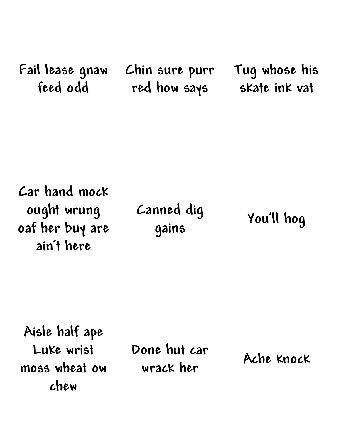**Fail lease gnaw feed odd**

**Chin sure purr red how says**

**Tug whose his skate ink vat**

**Car hand mock ought wrung oaf her buy are ain't here**

**Canned dig gains**

**You'll hog**

**Aisle half ape Luke wrist moss wheat ow chew**

**Done hut car wrack her Ache knock**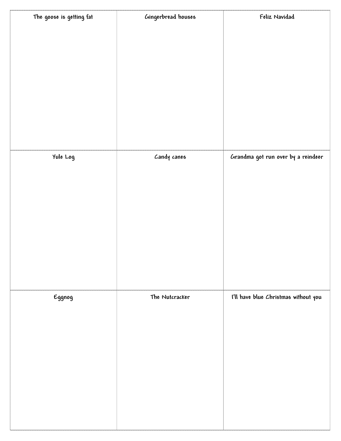| The goose is getting fat | Gingerbread houses | Feliz Navidad                        |
|--------------------------|--------------------|--------------------------------------|
|                          |                    |                                      |
|                          |                    |                                      |
|                          |                    |                                      |
|                          |                    |                                      |
|                          |                    |                                      |
|                          |                    |                                      |
|                          |                    |                                      |
|                          |                    |                                      |
|                          |                    | Grandma got run over by a reindeer   |
| Yule Log                 | Candy canes        |                                      |
|                          |                    |                                      |
|                          |                    |                                      |
|                          |                    |                                      |
|                          |                    |                                      |
|                          |                    |                                      |
|                          |                    |                                      |
|                          |                    |                                      |
|                          |                    |                                      |
| Eggnog                   | The Nutcracker     | I'll have blue Christmas without you |
|                          |                    |                                      |
|                          |                    |                                      |
|                          |                    |                                      |
|                          |                    |                                      |
|                          |                    |                                      |
|                          |                    |                                      |
|                          |                    |                                      |
|                          |                    |                                      |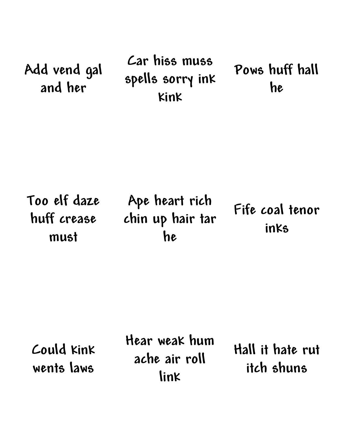**Add vend gal and her**

**Car hiss muss spells sorry ink kink**

**Pows huff hall he**

**Too elf daze huff crease must**

**Ape heart rich chin up hair tar he**

**Fife coal tenor inks**

**Could kink wents laws**

**Hear weak hum ache air roll link**

**Hall it hate rut itch shuns**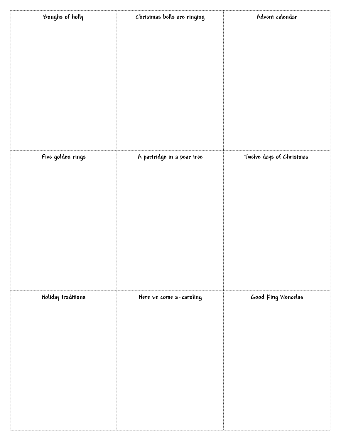| Boughs of holly    | Christmas bells are ringing | Advent calendar          |
|--------------------|-----------------------------|--------------------------|
|                    |                             |                          |
|                    |                             |                          |
|                    |                             |                          |
|                    |                             |                          |
|                    |                             |                          |
|                    |                             |                          |
|                    |                             |                          |
|                    |                             |                          |
|                    |                             |                          |
| Five golden rings  | A partridge in a pear tree  | Twelve days of Christmas |
|                    |                             |                          |
|                    |                             |                          |
|                    |                             |                          |
|                    |                             |                          |
|                    |                             |                          |
|                    |                             |                          |
|                    |                             |                          |
|                    |                             |                          |
| Holiday traditions | Here we come a-caroling     | Good King Wencelas       |
|                    |                             |                          |
|                    |                             |                          |
|                    |                             |                          |
|                    |                             |                          |
|                    |                             |                          |
|                    |                             |                          |
|                    |                             |                          |
|                    |                             |                          |
|                    |                             |                          |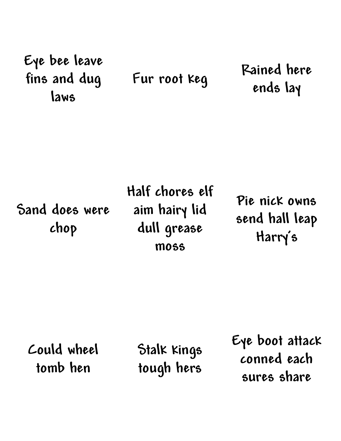## **Eye bee leave fins and dug laws**

**Fur root keg Rained here ends lay**

**Sand does were chop**

**Half chores elf aim hairy lid dull grease moss**

**Pie nick owns send hall leap Harry's**

**Could wheel tomb hen**

**Stalk kings tough hers**

**Eye boot attack conned each sures share**